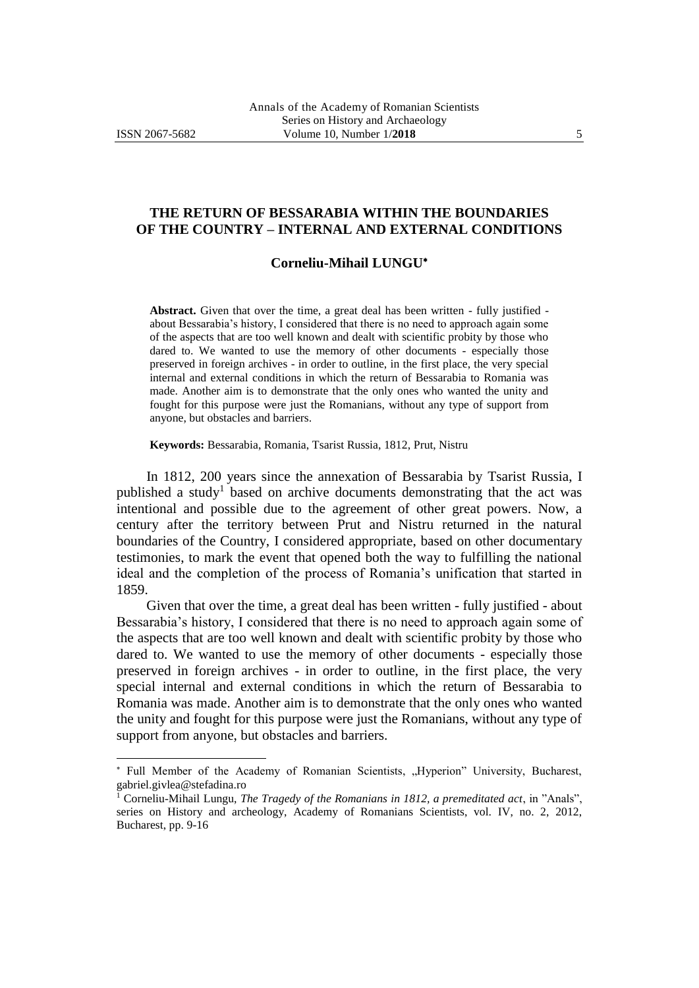l

## **THE RETURN OF BESSARABIA WITHIN THE BOUNDARIES OF THE COUNTRY – INTERNAL AND EXTERNAL CONDITIONS**

## **Corneliu-Mihail LUNGU**

**Abstract.** Given that over the time, a great deal has been written - fully justified about Bessarabia's history, I considered that there is no need to approach again some of the aspects that are too well known and dealt with scientific probity by those who dared to. We wanted to use the memory of other documents - especially those preserved in foreign archives - in order to outline, in the first place, the very special internal and external conditions in which the return of Bessarabia to Romania was made. Another aim is to demonstrate that the only ones who wanted the unity and fought for this purpose were just the Romanians, without any type of support from anyone, but obstacles and barriers.

**Keywords:** Bessarabia, Romania, Tsarist Russia, 1812, Prut, Nistru

In 1812, 200 years since the annexation of Bessarabia by Tsarist Russia, I published a study<sup>1</sup> based on archive documents demonstrating that the act was intentional and possible due to the agreement of other great powers. Now, a century after the territory between Prut and Nistru returned in the natural boundaries of the Country, I considered appropriate, based on other documentary testimonies, to mark the event that opened both the way to fulfilling the national ideal and the completion of the process of Romania's unification that started in 1859.

Given that over the time, a great deal has been written - fully justified - about Bessarabia's history, I considered that there is no need to approach again some of the aspects that are too well known and dealt with scientific probity by those who dared to. We wanted to use the memory of other documents - especially those preserved in foreign archives - in order to outline, in the first place, the very special internal and external conditions in which the return of Bessarabia to Romania was made. Another aim is to demonstrate that the only ones who wanted the unity and fought for this purpose were just the Romanians, without any type of support from anyone, but obstacles and barriers.

<sup>\*</sup> Full Member of the Academy of Romanian Scientists, "Hyperion" University, Bucharest, [gabriel.givlea@stefadina.ro](mailto:gabriel.givlea@stefadina.ro)

<sup>1</sup> Corneliu-Mihail Lungu, *The Tragedy of the Romanians in 1812, a premeditated act*, in "Anals", series on History and archeology, Academy of Romanians Scientists, vol. IV, no. 2, 2012, Bucharest, pp. 9-16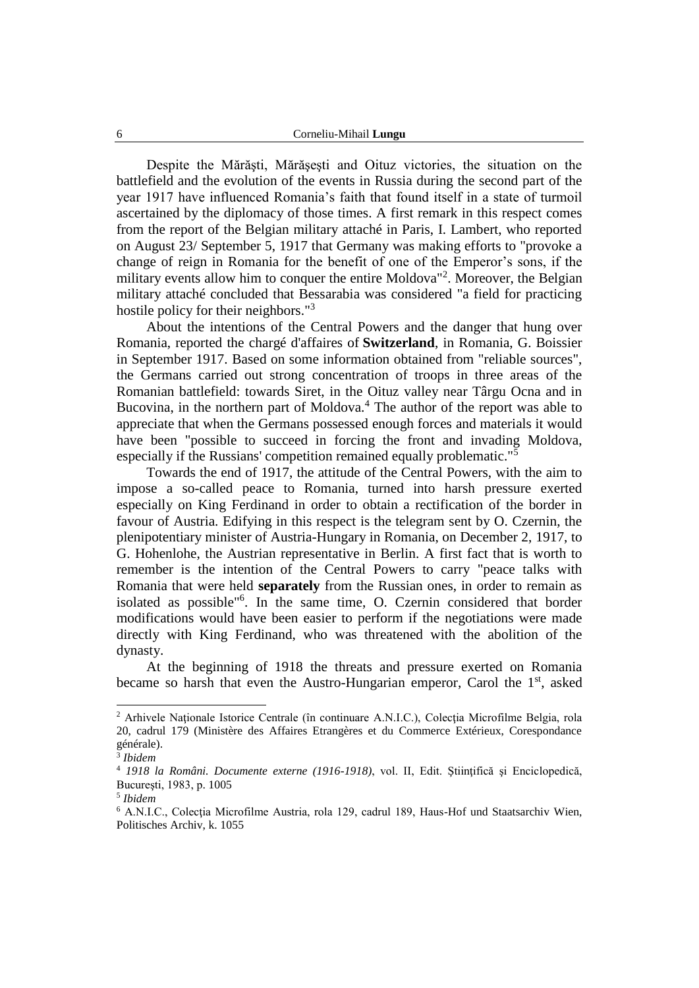Despite the Mărăşti, Mărăşeşti and Oituz victories, the situation on the battlefield and the evolution of the events in Russia during the second part of the year 1917 have influenced Romania's faith that found itself in a state of turmoil ascertained by the diplomacy of those times. A first remark in this respect comes from the report of the Belgian military attaché in Paris, I. Lambert, who reported on August 23/ September 5, 1917 that Germany was making efforts to "provoke a change of reign in Romania for the benefit of one of the Emperor's sons, if the military events allow him to conquer the entire Moldova<sup>"2</sup>. Moreover, the Belgian military attaché concluded that Bessarabia was considered "a field for practicing hostile policy for their neighbors."<sup>3</sup>

About the intentions of the Central Powers and the danger that hung over Romania, reported the chargé d'affaires of **Switzerland**, in Romania, G. Boissier in September 1917. Based on some information obtained from "reliable sources", the Germans carried out strong concentration of troops in three areas of the Romanian battlefield: towards Siret, in the Oituz valley near Târgu Ocna and in Bucovina, in the northern part of Moldova.<sup>4</sup> The author of the report was able to appreciate that when the Germans possessed enough forces and materials it would have been "possible to succeed in forcing the front and invading Moldova, especially if the Russians' competition remained equally problematic."<sup>5</sup>

Towards the end of 1917, the attitude of the Central Powers, with the aim to impose a so-called peace to Romania, turned into harsh pressure exerted especially on King Ferdinand in order to obtain a rectification of the border in favour of Austria. Edifying in this respect is the telegram sent by O. Czernin, the plenipotentiary minister of Austria-Hungary in Romania, on December 2, 1917, to G. Hohenlohe, the Austrian representative in Berlin. A first fact that is worth to remember is the intention of the Central Powers to carry "peace talks with Romania that were held **separately** from the Russian ones, in order to remain as isolated as possible"<sup>6</sup> . In the same time, O. Czernin considered that border modifications would have been easier to perform if the negotiations were made directly with King Ferdinand, who was threatened with the abolition of the dynasty.

At the beginning of 1918 the threats and pressure exerted on Romania became so harsh that even the Austro-Hungarian emperor, Carol the 1<sup>st</sup>, asked

 $2$  Arhivele Naționale Istorice Centrale (în continuare A.N.I.C.), Colecția Microfilme Belgia, rola 20, cadrul 179 (Ministère des Affaires Etrangères et du Commerce Extérieux, Corespondance générale).

<sup>3</sup> *Ibidem*

<sup>4</sup> *1918 la Români. Documente externe (1916-1918)*, vol. II, Edit. Ştiinţifică şi Enciclopedică, Bucureşti, 1983, p. 1005

<sup>5</sup> *Ibidem*

<sup>&</sup>lt;sup>6</sup> A.N.I.C., Colecția Microfilme Austria, rola 129, cadrul 189, Haus-Hof und Staatsarchiv Wien, Politisches Archiv, k. 1055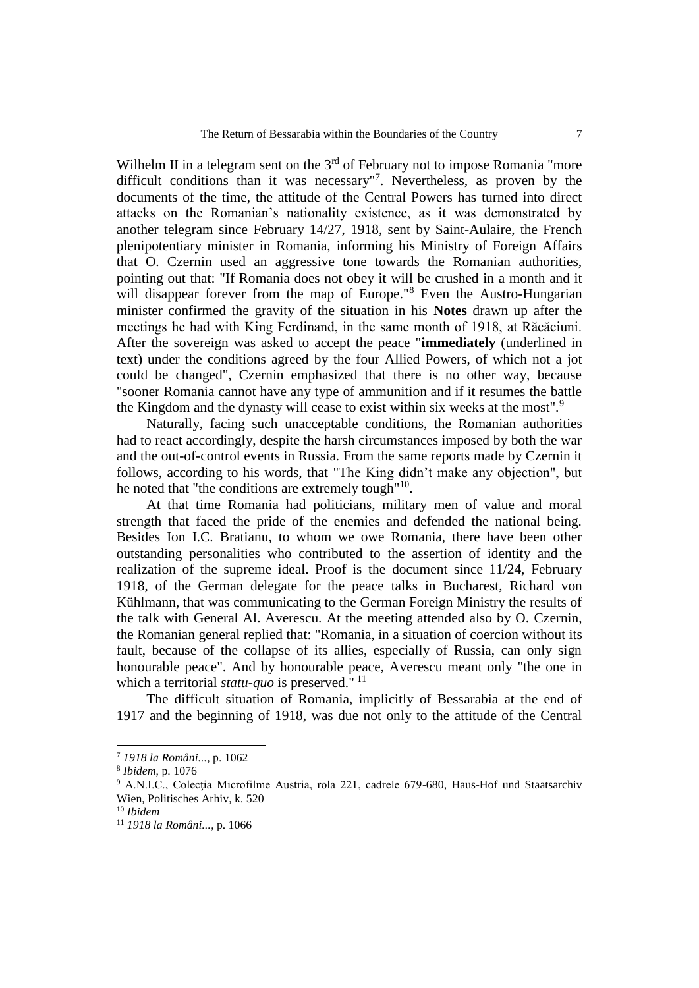Wilhelm II in a telegram sent on the  $3<sup>rd</sup>$  of February not to impose Romania "more difficult conditions than it was necessary"<sup>7</sup> . Nevertheless, as proven by the documents of the time, the attitude of the Central Powers has turned into direct attacks on the Romanian's nationality existence, as it was demonstrated by another telegram since February 14/27, 1918, sent by Saint-Aulaire, the French plenipotentiary minister in Romania, informing his Ministry of Foreign Affairs that O. Czernin used an aggressive tone towards the Romanian authorities, pointing out that: "If Romania does not obey it will be crushed in a month and it will disappear forever from the map of Europe."<sup>8</sup> Even the Austro-Hungarian minister confirmed the gravity of the situation in his **Notes** drawn up after the meetings he had with King Ferdinand, in the same month of 1918, at Răcăciuni. After the sovereign was asked to accept the peace "**immediately** (underlined in text) under the conditions agreed by the four Allied Powers, of which not a jot could be changed", Czernin emphasized that there is no other way, because "sooner Romania cannot have any type of ammunition and if it resumes the battle the Kingdom and the dynasty will cease to exist within six weeks at the most".<sup>9</sup>

Naturally, facing such unacceptable conditions, the Romanian authorities had to react accordingly, despite the harsh circumstances imposed by both the war and the out-of-control events in Russia. From the same reports made by Czernin it follows, according to his words, that "The King didn't make any objection", but he noted that "the conditions are extremely tough"<sup>10</sup>.

At that time Romania had politicians, military men of value and moral strength that faced the pride of the enemies and defended the national being. Besides Ion I.C. Bratianu, to whom we owe Romania, there have been other outstanding personalities who contributed to the assertion of identity and the realization of the supreme ideal. Proof is the document since 11/24, February 1918, of the German delegate for the peace talks in Bucharest, Richard von Kühlmann, that was communicating to the German Foreign Ministry the results of the talk with General Al. Averescu. At the meeting attended also by O. Czernin, the Romanian general replied that: "Romania, in a situation of coercion without its fault, because of the collapse of its allies, especially of Russia, can only sign honourable peace". And by honourable peace, Averescu meant only "the one in which a territorial *statu-quo* is preserved."<sup>11</sup>

The difficult situation of Romania, implicitly of Bessarabia at the end of 1917 and the beginning of 1918, was due not only to the attitude of the Central

<sup>7</sup> *1918 la Români...*, p. 1062

<sup>8</sup> *Ibidem*, p. 1076

<sup>&</sup>lt;sup>9</sup> A.N.I.C., Colecția Microfilme Austria, rola 221, cadrele 679-680, Haus-Hof und Staatsarchiv Wien, Politisches Arhiv, k. 520

<sup>10</sup> *Ibidem*

<sup>11</sup> *1918 la Români...*, p. 1066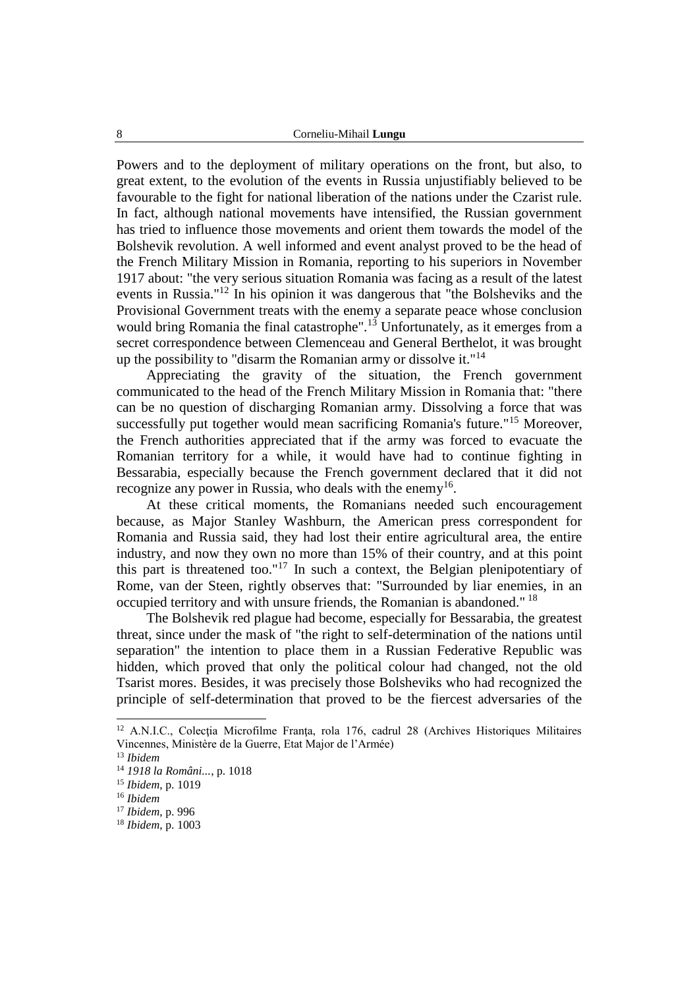Powers and to the deployment of military operations on the front, but also, to great extent, to the evolution of the events in Russia unjustifiably believed to be favourable to the fight for national liberation of the nations under the Czarist rule. In fact, although national movements have intensified, the Russian government has tried to influence those movements and orient them towards the model of the Bolshevik revolution. A well informed and event analyst proved to be the head of the French Military Mission in Romania, reporting to his superiors in November 1917 about: "the very serious situation Romania was facing as a result of the latest events in Russia."<sup>12</sup> In his opinion it was dangerous that "the Bolsheviks and the Provisional Government treats with the enemy a separate peace whose conclusion would bring Romania the final catastrophe".<sup>13</sup> Unfortunately, as it emerges from a secret correspondence between Clemenceau and General Berthelot, it was brought up the possibility to "disarm the Romanian army or dissolve it."<sup>14</sup>

Appreciating the gravity of the situation, the French government communicated to the head of the French Military Mission in Romania that: "there can be no question of discharging Romanian army. Dissolving a force that was successfully put together would mean sacrificing Romania's future."<sup>15</sup> Moreover, the French authorities appreciated that if the army was forced to evacuate the Romanian territory for a while, it would have had to continue fighting in Bessarabia, especially because the French government declared that it did not recognize any power in Russia, who deals with the enemy<sup>16</sup>.

At these critical moments, the Romanians needed such encouragement because, as Major Stanley Washburn, the American press correspondent for Romania and Russia said, they had lost their entire agricultural area, the entire industry, and now they own no more than 15% of their country, and at this point this part is threatened too."<sup>17</sup> In such a context, the Belgian plenipotentiary of Rome, van der Steen, rightly observes that: "Surrounded by liar enemies, in an occupied territory and with unsure friends, the Romanian is abandoned." <sup>18</sup>

The Bolshevik red plague had become, especially for Bessarabia, the greatest threat, since under the mask of "the right to self-determination of the nations until separation" the intention to place them in a Russian Federative Republic was hidden, which proved that only the political colour had changed, not the old Tsarist mores. Besides, it was precisely those Bolsheviks who had recognized the principle of self-determination that proved to be the fiercest adversaries of the

 $12$  A.N.I.C., Colecția Microfilme Franța, rola 176, cadrul 28 (Archives Historiques Militaires Vincennes, Ministère de la Guerre, Etat Major de l'Armée)

<sup>13</sup> *Ibidem*

<sup>14</sup> *1918 la Români...*, p. 1018

<sup>15</sup> *Ibidem*, p. 1019

<sup>16</sup> *Ibidem*

<sup>17</sup> *Ibidem*, p. 996

<sup>18</sup> *Ibidem*, p. 1003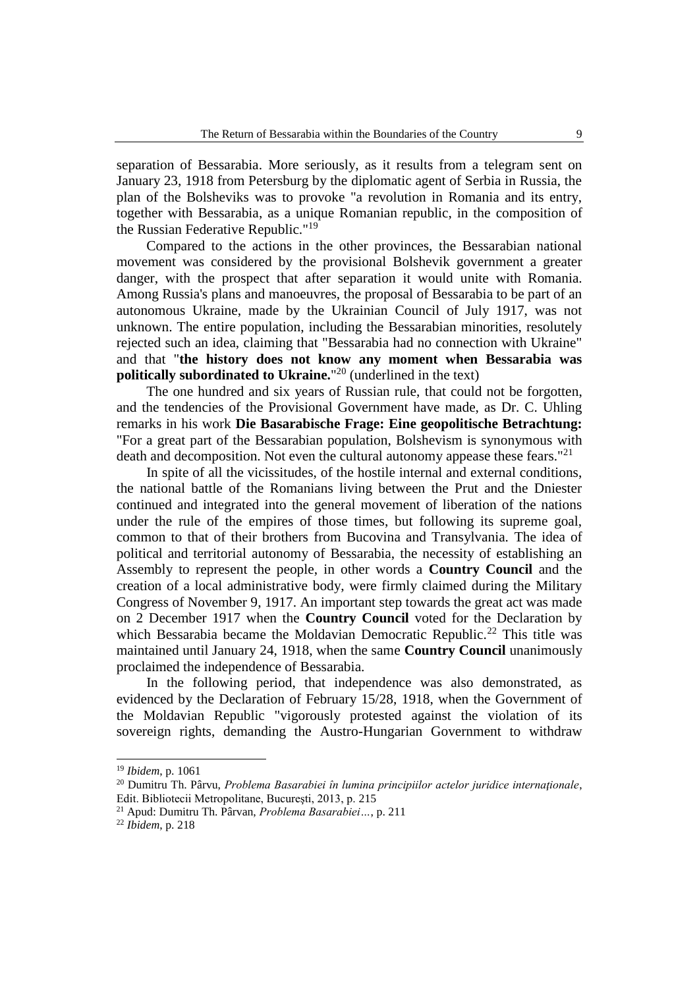separation of Bessarabia. More seriously, as it results from a telegram sent on January 23, 1918 from Petersburg by the diplomatic agent of Serbia in Russia, the plan of the Bolsheviks was to provoke "a revolution in Romania and its entry, together with Bessarabia, as a unique Romanian republic, in the composition of the Russian Federative Republic."<sup>19</sup>

Compared to the actions in the other provinces, the Bessarabian national movement was considered by the provisional Bolshevik government a greater danger, with the prospect that after separation it would unite with Romania. Among Russia's plans and manoeuvres, the proposal of Bessarabia to be part of an autonomous Ukraine, made by the Ukrainian Council of July 1917, was not unknown. The entire population, including the Bessarabian minorities, resolutely rejected such an idea, claiming that "Bessarabia had no connection with Ukraine" and that "**the history does not know any moment when Bessarabia was politically subordinated to Ukraine.**" <sup>20</sup> (underlined in the text)

The one hundred and six years of Russian rule, that could not be forgotten, and the tendencies of the Provisional Government have made, as Dr. C. Uhling remarks in his work **Die Basarabische Frage: Eine geopolitische Betrachtung:** "For a great part of the Bessarabian population, Bolshevism is synonymous with death and decomposition. Not even the cultural autonomy appease these fears."<sup>21</sup>

In spite of all the vicissitudes, of the hostile internal and external conditions, the national battle of the Romanians living between the Prut and the Dniester continued and integrated into the general movement of liberation of the nations under the rule of the empires of those times, but following its supreme goal, common to that of their brothers from Bucovina and Transylvania. The idea of political and territorial autonomy of Bessarabia, the necessity of establishing an Assembly to represent the people, in other words a **Country Council** and the creation of a local administrative body, were firmly claimed during the Military Congress of November 9, 1917. An important step towards the great act was made on 2 December 1917 when the **Country Council** voted for the Declaration by which Bessarabia became the Moldavian Democratic Republic.<sup>22</sup> This title was maintained until January 24, 1918, when the same **Country Council** unanimously proclaimed the independence of Bessarabia.

In the following period, that independence was also demonstrated, as evidenced by the Declaration of February 15/28, 1918, when the Government of the Moldavian Republic "vigorously protested against the violation of its sovereign rights, demanding the Austro-Hungarian Government to withdraw

-

<sup>19</sup> *Ibidem*, p. 1061

<sup>20</sup> Dumitru Th. Pârvu, *Problema Basarabiei în lumina principiilor actelor juridice internaţionale*, Edit. Bibliotecii Metropolitane, Bucureşti, 2013, p. 215

<sup>21</sup> Apud: Dumitru Th. Pârvan, *Problema Basarabiei…*, p. 211

<sup>22</sup> *Ibidem*, p. 218